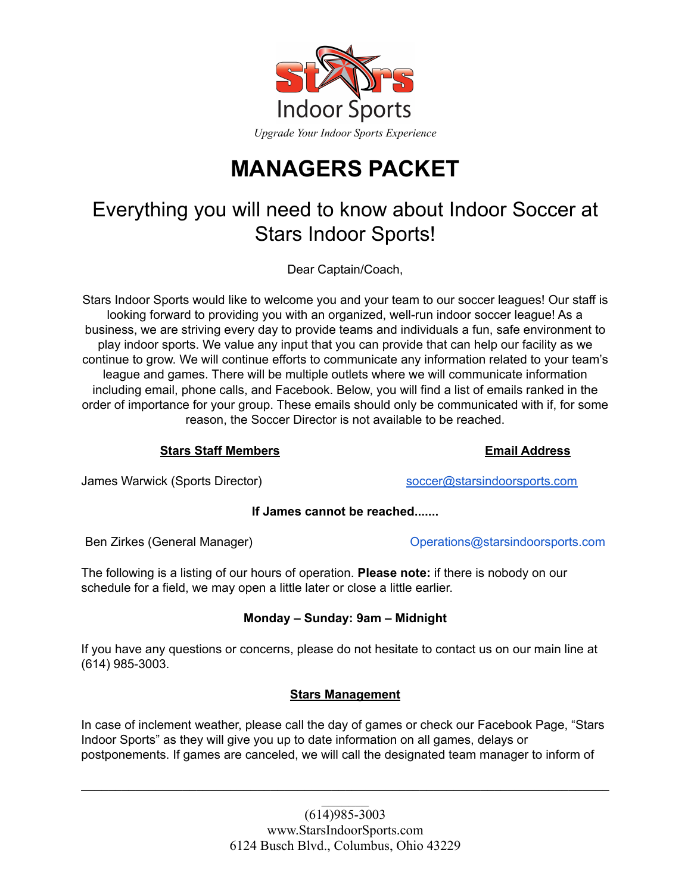

# **MANAGERS PACKET**

## Everything you will need to know about Indoor Soccer at Stars Indoor Sports!

Dear Captain/Coach,

Stars Indoor Sports would like to welcome you and your team to our soccer leagues! Our staff is looking forward to providing you with an organized, well-run indoor soccer league! As a business, we are striving every day to provide teams and individuals a fun, safe environment to play indoor sports. We value any input that you can provide that can help our facility as we continue to grow. We will continue efforts to communicate any information related to your team's league and games. There will be multiple outlets where we will communicate information including email, phone calls, and Facebook. Below, you will find a list of emails ranked in the order of importance for your group. These emails should only be communicated with if, for some reason, the Soccer Director is not available to be reached.

#### **Stars Staff Members Email Address**

James Warwick (Sports Director) [soccer@starsindoorsports.com](mailto:soccer@starsindoorsports.com)

**If James cannot be reached.......**

Ben Zirkes (General Manager) Operations@starsindoorsports.com

The following is a listing of our hours of operation. **Please note:** if there is nobody on our schedule for a field, we may open a little later or close a little earlier.

#### **Monday – Sunday: 9am – Midnight**

If you have any questions or concerns, please do not hesitate to contact us on our main line at (614) 985-3003.

#### **Stars Management**

In case of inclement weather, please call the day of games or check our Facebook Page, "Stars Indoor Sports" as they will give you up to date information on all games, delays or postponements. If games are canceled, we will call the designated team manager to inform of

 $\mathcal{L}_\mathcal{L} = \{ \mathcal{L}_\mathcal{L} = \{ \mathcal{L}_\mathcal{L} = \{ \mathcal{L}_\mathcal{L} = \{ \mathcal{L}_\mathcal{L} = \{ \mathcal{L}_\mathcal{L} = \{ \mathcal{L}_\mathcal{L} = \{ \mathcal{L}_\mathcal{L} = \{ \mathcal{L}_\mathcal{L} = \{ \mathcal{L}_\mathcal{L} = \{ \mathcal{L}_\mathcal{L} = \{ \mathcal{L}_\mathcal{L} = \{ \mathcal{L}_\mathcal{L} = \{ \mathcal{L}_\mathcal{L} = \{ \mathcal{L}_\mathcal{$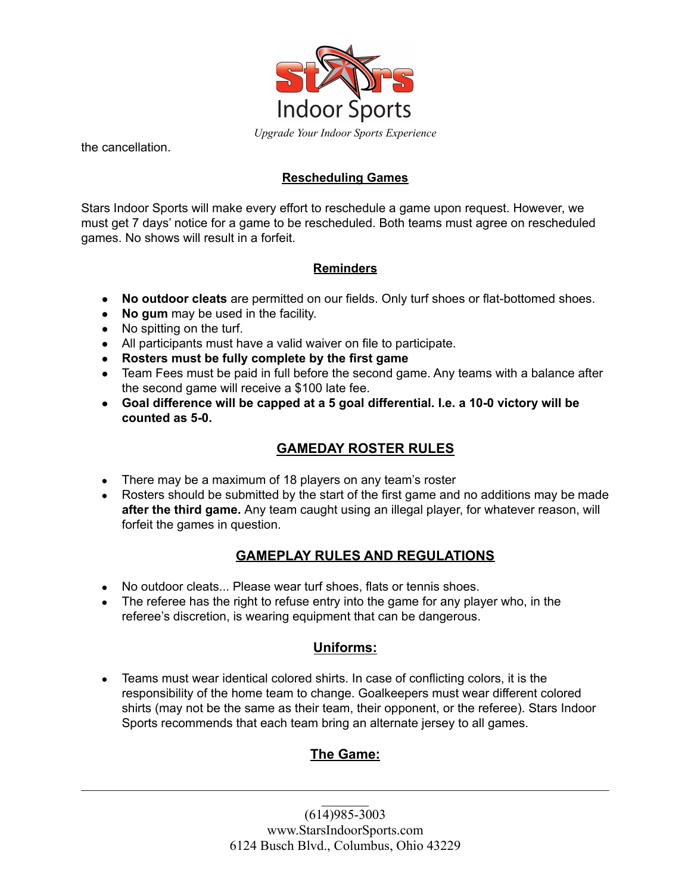

the cancellation.

#### **Rescheduling Games**

Stars Indoor Sports will make every effort to reschedule a game upon request. However, we must get 7 days' notice for a game to be rescheduled. Both teams must agree on rescheduled games. No shows will result in a forfeit.

#### **Reminders**

- **No outdoor cleats** are permitted on our fields. Only turf shoes or flat-bottomed shoes.
- **No gum** may be used in the facility.
- No spitting on the turf.
- All participants must have a valid waiver on file to participate.
- **● Rosters must be fully complete by the first game**
- Team Fees must be paid in full before the second game. Any teams with a balance after the second game will receive a \$100 late fee.
- **Goal difference will be capped at a 5 goal differential. I.e. a 10-0 victory will be counted as 5-0.**

#### **GAMEDAY ROSTER RULES**

- There may be a maximum of 18 players on any team's roster
- Rosters should be submitted by the start of the first game and no additions may be made **after the third game.** Any team caught using an illegal player, for whatever reason, will forfeit the games in question.

#### **GAMEPLAY RULES AND REGULATIONS**

- No outdoor cleats... Please wear turf shoes, flats or tennis shoes.
- The referee has the right to refuse entry into the game for any player who, in the referee's discretion, is wearing equipment that can be dangerous.

#### **Uniforms:**

• Teams must wear identical colored shirts. In case of conflicting colors, it is the responsibility of the home team to change. Goalkeepers must wear different colored shirts (may not be the same as their team, their opponent, or the referee). Stars Indoor Sports recommends that each team bring an alternate jersey to all games.

### **The Game:**

 $\mathcal{L}_\mathcal{L} = \{ \mathcal{L}_\mathcal{L} = \{ \mathcal{L}_\mathcal{L} = \{ \mathcal{L}_\mathcal{L} = \{ \mathcal{L}_\mathcal{L} = \{ \mathcal{L}_\mathcal{L} = \{ \mathcal{L}_\mathcal{L} = \{ \mathcal{L}_\mathcal{L} = \{ \mathcal{L}_\mathcal{L} = \{ \mathcal{L}_\mathcal{L} = \{ \mathcal{L}_\mathcal{L} = \{ \mathcal{L}_\mathcal{L} = \{ \mathcal{L}_\mathcal{L} = \{ \mathcal{L}_\mathcal{L} = \{ \mathcal{L}_\mathcal{$  $\mathcal{L}_\text{max}$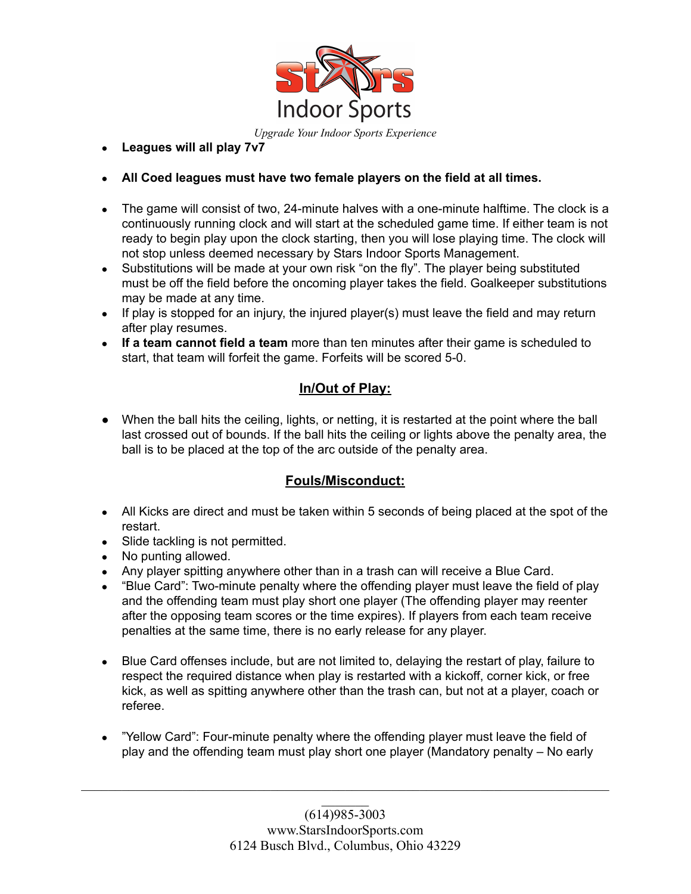

#### **● Leagues will all play 7v7**

- **● All Coed leagues must have two female players on the field at all times.**
- The game will consist of two, 24-minute halves with a one-minute halftime. The clock is a continuously running clock and will start at the scheduled game time. If either team is not ready to begin play upon the clock starting, then you will lose playing time. The clock will not stop unless deemed necessary by Stars Indoor Sports Management.
- Substitutions will be made at your own risk "on the fly". The player being substituted must be off the field before the oncoming player takes the field. Goalkeeper substitutions may be made at any time.
- If play is stopped for an injury, the injured player(s) must leave the field and may return after play resumes.
- **If a team cannot field a team** more than ten minutes after their game is scheduled to start, that team will forfeit the game. Forfeits will be scored 5-0.

#### **In/Out of Play:**

• When the ball hits the ceiling, lights, or netting, it is restarted at the point where the ball last crossed out of bounds. If the ball hits the ceiling or lights above the penalty area, the ball is to be placed at the top of the arc outside of the penalty area.

#### **Fouls/Misconduct:**

- All Kicks are direct and must be taken within 5 seconds of being placed at the spot of the restart.
- Slide tackling is not permitted.
- No punting allowed.
- Any player spitting anywhere other than in a trash can will receive a Blue Card.
- "Blue Card": Two-minute penalty where the offending player must leave the field of play and the offending team must play short one player (The offending player may reenter after the opposing team scores or the time expires). If players from each team receive penalties at the same time, there is no early release for any player.
- Blue Card offenses include, but are not limited to, delaying the restart of play, failure to respect the required distance when play is restarted with a kickoff, corner kick, or free kick, as well as spitting anywhere other than the trash can, but not at a player, coach or referee.
- "Yellow Card": Four-minute penalty where the offending player must leave the field of play and the offending team must play short one player (Mandatory penalty – No early

 $\mathcal{L}_\mathcal{L} = \{ \mathcal{L}_\mathcal{L} = \{ \mathcal{L}_\mathcal{L} = \{ \mathcal{L}_\mathcal{L} = \{ \mathcal{L}_\mathcal{L} = \{ \mathcal{L}_\mathcal{L} = \{ \mathcal{L}_\mathcal{L} = \{ \mathcal{L}_\mathcal{L} = \{ \mathcal{L}_\mathcal{L} = \{ \mathcal{L}_\mathcal{L} = \{ \mathcal{L}_\mathcal{L} = \{ \mathcal{L}_\mathcal{L} = \{ \mathcal{L}_\mathcal{L} = \{ \mathcal{L}_\mathcal{L} = \{ \mathcal{L}_\mathcal{$  $\mathcal{L}_\text{max}$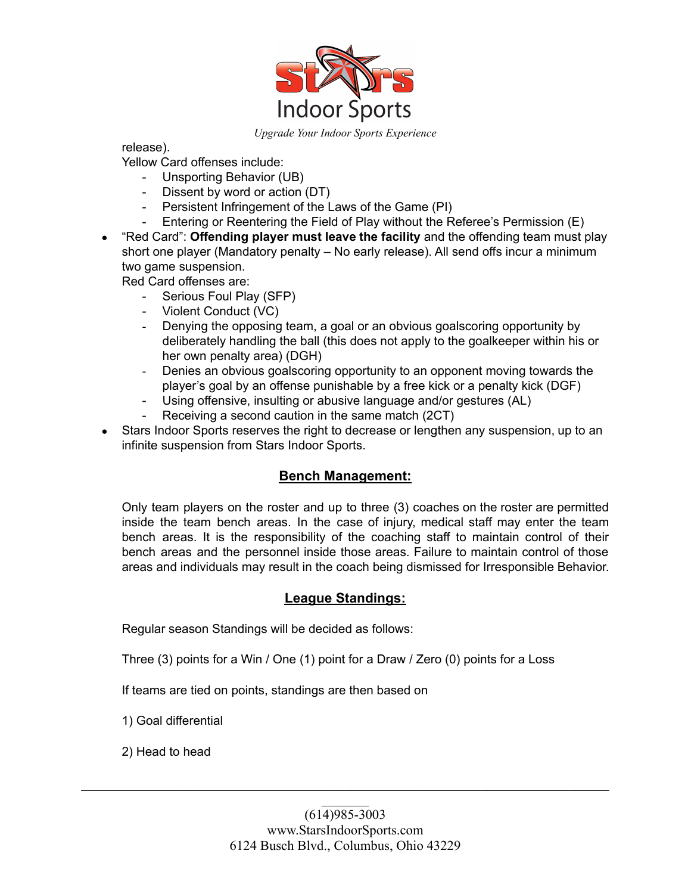

release). Yellow Card offenses include:

- Unsporting Behavior (UB)

- Dissent by word or action (DT)
- Persistent Infringement of the Laws of the Game (PI)
- Entering or Reentering the Field of Play without the Referee's Permission (E)
- "Red Card": **Offending player must leave the facility** and the offending team must play short one player (Mandatory penalty – No early release). All send offs incur a minimum two game suspension.

Red Card offenses are:

- Serious Foul Play (SFP)
- Violent Conduct (VC)
- Denying the opposing team, a goal or an obvious goalscoring opportunity by deliberately handling the ball (this does not apply to the goalkeeper within his or her own penalty area) (DGH)
- Denies an obvious goalscoring opportunity to an opponent moving towards the player's goal by an offense punishable by a free kick or a penalty kick (DGF)
- Using offensive, insulting or abusive language and/or gestures (AL)
- Receiving a second caution in the same match (2CT)
- Stars Indoor Sports reserves the right to decrease or lengthen any suspension, up to an infinite suspension from Stars Indoor Sports.

#### **Bench Management:**

Only team players on the roster and up to three (3) coaches on the roster are permitted inside the team bench areas. In the case of injury, medical staff may enter the team bench areas. It is the responsibility of the coaching staff to maintain control of their bench areas and the personnel inside those areas. Failure to maintain control of those areas and individuals may result in the coach being dismissed for Irresponsible Behavior.

#### **League Standings:**

Regular season Standings will be decided as follows:

Three (3) points for a Win / One (1) point for a Draw / Zero (0) points for a Loss

If teams are tied on points, standings are then based on

1) Goal differential

2) Head to head

 $\mathcal{L}_\mathcal{L} = \{ \mathcal{L}_\mathcal{L} = \{ \mathcal{L}_\mathcal{L} = \{ \mathcal{L}_\mathcal{L} = \{ \mathcal{L}_\mathcal{L} = \{ \mathcal{L}_\mathcal{L} = \{ \mathcal{L}_\mathcal{L} = \{ \mathcal{L}_\mathcal{L} = \{ \mathcal{L}_\mathcal{L} = \{ \mathcal{L}_\mathcal{L} = \{ \mathcal{L}_\mathcal{L} = \{ \mathcal{L}_\mathcal{L} = \{ \mathcal{L}_\mathcal{L} = \{ \mathcal{L}_\mathcal{L} = \{ \mathcal{L}_\mathcal{$  $\mathcal{L}_\text{max}$